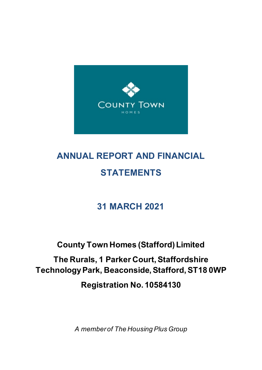

# **ANNUAL REPORT AND FINANCIAL STATEMENTS**

# **31 MARCH 2021**

# **County Town Homes (Stafford) Limited**

**The Rurals, 1 Parker Court, Staffordshire Technology Park, Beaconside, Stafford, ST18 0WP**

**Registration No. 10584130**

*A member of The Housing Plus Group*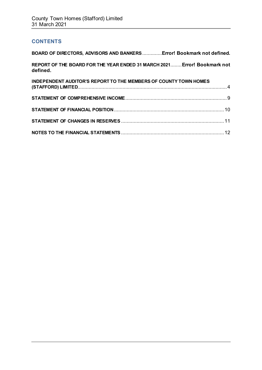## **CONTENTS**

| BOARD OF DIRECTORS, ADVISORS AND BANKERS Error! Bookmark not defined.                |  |
|--------------------------------------------------------------------------------------|--|
| REPORT OF THE BOARD FOR THE YEAR ENDED 31 MARCH 2021 Error! Bookmark not<br>defined. |  |
| <b>INDEPENDENT AUDITOR'S REPORT TO THE MEMBERS OF COUNTY TOWN HOMES</b>              |  |
|                                                                                      |  |
|                                                                                      |  |
|                                                                                      |  |
|                                                                                      |  |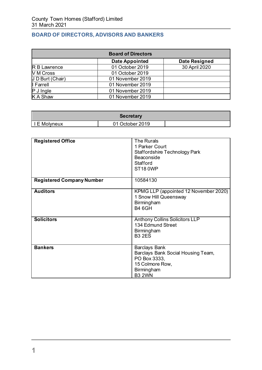# **BOARD OF DIRECTORS, ADVISORS AND BANKERS**

| <b>Board of Directors</b> |                       |                      |  |
|---------------------------|-----------------------|----------------------|--|
|                           | <b>Date Appointed</b> | <b>Date Resigned</b> |  |
| R B Lawrence              | 01 October 2019       | 30 April 2020        |  |
| V M Cross                 | 01 October 2019       |                      |  |
| J D Burt (Chair)          | 01 November 2019      |                      |  |
| I Farrell                 | 01 November 2019      |                      |  |
| $P$ J Ingle               | 01 November 2019      |                      |  |
| <b>K A Shaw</b>           | 01 November 2019      |                      |  |

| Secretary    |                 |  |
|--------------|-----------------|--|
| I E Molyneux | 01 October 2019 |  |

| <b>Registered Office</b>         | <b>The Rurals</b><br>1 Parker Court<br>Staffordshire Technology Park<br><b>Beaconside</b><br>Stafford<br><b>ST18 0WP</b>     |
|----------------------------------|------------------------------------------------------------------------------------------------------------------------------|
| <b>Registered Company Number</b> | 10584130                                                                                                                     |
| <b>Auditors</b>                  | KPMG LLP (appointed 12 November 2020)<br>1 Snow Hill Queensway<br>Birmingham<br><b>B4 6GH</b>                                |
| <b>Solicitors</b>                | <b>Anthony Collins Solicitors LLP</b><br>134 Edmund Street<br>Birmingham<br><b>B3 2ES</b>                                    |
| <b>Bankers</b>                   | <b>Barclays Bank</b><br>Barclays Bank Social Housing Team,<br>PO Box 3333,<br>15 Colmore Row,<br>Birmingham<br><b>B3 2WN</b> |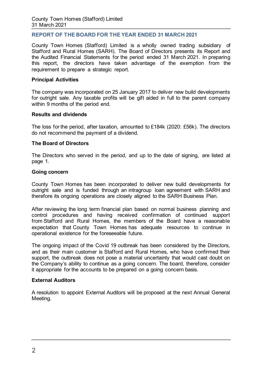## **REPORT OF THE BOARD FOR THE YEAR ENDED 31 MARCH 2021**

County Town Homes (Stafford) Limited is a wholly owned trading subsidiary of Stafford and Rural Homes (SARH). The Board of Directors presents its Report and the Audited Financial Statements for the period ended 31 March 2021. In preparing this report, the directors have taken advantage of the exemption from the requirement to prepare a strategic report.

## **Principal Activities**

The company was incorporated on 25 January 2017 to deliver new build developments for outright sale. Any taxable profits will be gift aided in full to the parent company within 9 months of the period end.

#### **Results and dividends**

The loss for the period, after taxation, amounted to £184k (2020: £56k). The directors do not recommend the payment of a dividend.

#### **The Board of Directors**

The Directors who served in the period, and up to the date of signing, are listed at page 1.

#### **Going concern**

County Town Homes has been incorporated to deliver new build developments for outright sale and is funded through an intragroup loan agreement with SARH and therefore its ongoing operations are closely aligned to the SARH Business Plan.

After reviewing the long term financial plan based on normal business planning and control procedures and having received confirmation of continued support from Stafford and Rural Homes, the members of the Board have a reasonable expectation that County Town Homes has adequate resources to continue in operational existence for the foreseeable future.

The ongoing impact of the Covid 19 outbreak has been considered by the Directors, and as their main customer is Stafford and Rural Homes, who have confirmed their support, the outbreak does not pose a material uncertainty that would cast doubt on the Company's ability to continue as a going concern. The board, therefore, consider it appropriate for the accounts to be prepared on a going concern basis.

## **External Auditors**

A resolution to appoint External Auditors will be proposed at the next Annual General Meeting.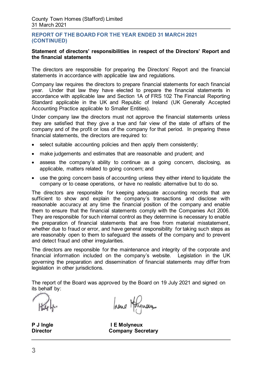## **REPORT OF THE BOARD FOR THE YEAR ENDED 31 MARCH 2021 (CONTINUED)**

## <span id="page-4-0"></span>**Statement of directors' responsibilities in respect of the Directors' Report and the financial statements**

The directors are responsible for preparing the Directors' Report and the financial statements in accordance with applicable law and regulations.

Company law requires the directors to prepare financial statements for each financial year. Under that law they have elected to prepare the financial statements in accordance with applicable law and Section 1A of FRS 102 The Financial Reporting Standard applicable in the UK and Republic of Ireland (UK Generally Accepted Accounting Practice applicable to Smaller Entities).

Under company law the directors must not approve the financial statements unless they are satisfied that they give a true and fair view of the state of affairs of the company and of the profit or loss of the company for that period. In preparing these financial statements, the directors are required to:

- select suitable accounting policies and then apply them consistently;
- make judgements and estimates that are reasonable and prudent; and
- assess the company's ability to continue as a going concern, disclosing, as applicable, matters related to going concern; and
- use the going concern basis of accounting unless they either intend to liquidate the company or to cease operations, or have no realistic alternative but to do so.

The directors are responsible for keeping adequate accounting records that are sufficient to show and explain the company's transactions and disclose with reasonable accuracy at any time the financial position of the company and enable them to ensure that the financial statements comply with the Companies Act 2006. They are responsible for such internal control as they determine is necessary to enable the preparation of financial statements that are free from material misstatement, whether due to fraud or error, and have general responsibility for taking such steps as are reasonably open to them to safeguard the assets of the company and to prevent and detect fraud and other irregularities.

The directors are responsible for the maintenance and integrity of the corporate and financial information included on the company's website. Legislation in the UK governing the preparation and dissemination of financial statements may differ from legislation in other jurisdictions.

The report of the Board was approved by the Board on 19 July 2021 and signed on its behalf by:

hene Holynois

**P J Ingle I E Molyneux Director Company Secretary**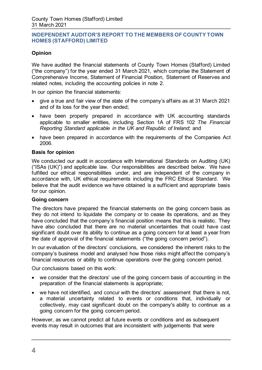## **Opinion**

We have audited the financial statements of County Town Homes (Stafford) Limited ("the company") for the year ended 31 March 2021, which comprise the Statement of Comprehensive Income, Statement of Financial Position, Statement of Reserves and related notes, including the accounting policies in note 2.

In our opinion the financial statements:

- give a true and fair view of the state of the company's affairs as at 31 March 2021 and of its loss for the year then ended;
- have been properly prepared in accordance with UK accounting standards applicable to smaller entities, including Section 1A of FRS 102 *The Financial Reporting Standard applicable in the UK and Republic of Ireland*; and
- have been prepared in accordance with the requirements of the Companies Act 2006.

## **Basis for opinion**

We conducted our audit in accordance with International Standards on Auditing (UK) ("ISAs (UK)") and applicable law. Our responsibilities are described below. We have fulfilled our ethical responsibilities under, and are independent of the company in accordance with, UK ethical requirements including the FRC Ethical Standard. We believe that the audit evidence we have obtained is a sufficient and appropriate basis for our opinion.

## **Going concern**

The directors have prepared the financial statements on the going concern basis as they do not intend to liquidate the company or to cease its operations, and as they have concluded that the company's financial position means that this is realistic. They have also concluded that there are no material uncertainties that could have cast significant doubt over its ability to continue as a going concern for at least a year from the date of approval of the financial statements ("the going concern period").

In our evaluation of the directors' conclusions, we considered the inherent risks to the company's business model and analysed how those risks might affect the company's financial resources or ability to continue operations over the going concern period.

Our conclusions based on this work:

- we consider that the directors' use of the going concern basis of accounting in the preparation of the financial statements is appropriate;
- we have not identified, and concur with the directors' assessment that there is not, a material uncertainty related to events or conditions that, individually or collectively, may cast significant doubt on the company's ability to continue as a going concern for the going concern period.

However, as we cannot predict all future events or conditions and as subsequent events may result in outcomes that are inconsistent with judgements that were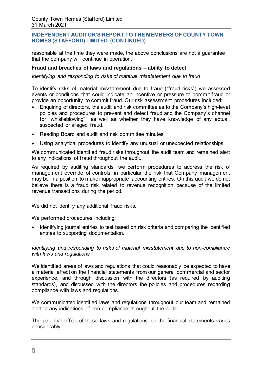reasonable at the time they were made, the above conclusions are not a guarantee that the company will continue in operation.

## **Fraud and breaches of laws and regulations – ability to detect**

*Identifying and responding to risks of material misstatement due to fraud*

To identify risks of material misstatement due to fraud ("fraud risks") we assessed events or conditions that could indicate an incentive or pressure to commit fraud or provide an opportunity to commit fraud. Our risk assessment procedures included:

- Enquiring of directors, the audit and risk committee as to the Company's high-level policies and procedures to prevent and detect fraud and the Company's channel for "whistleblowing", as well as whether they have knowledge of any actual, suspected or alleged fraud.
- Reading Board and audit and risk committee minutes.
- Using analytical procedures to identify any unusual or unexpected relationships.

We communicated identified fraud risks throughout the audit team and remained alert to any indications of fraud throughout the audit.

As required by auditing standards, we perform procedures to address the risk of management override of controls, in particular the risk that Company management may be in a position to make inappropriate accounting entries. On this audit we do not believe there is a fraud risk related to revenue recognition because of the limited revenue transactions during the period.

We did not identify any additional fraud risks.

We performed procedures including:

• Identifying journal entries to test based on risk criteria and comparing the identified entries to supporting documentation.

## *Identifying and responding to risks of material misstatement due to non-compliance with laws and regulations*

We identified areas of laws and regulations that could reasonably be expected to have a material effect on the financial statements from our general commercial and sector experience, and through discussion with the directors (as required by auditing standards), and discussed with the directors the policies and procedures regarding compliance with laws and regulations.

We communicated identified laws and regulations throughout our team and remained alert to any indications of non-compliance throughout the audit.

The potential effect of these laws and regulations on the financial statements varies considerably.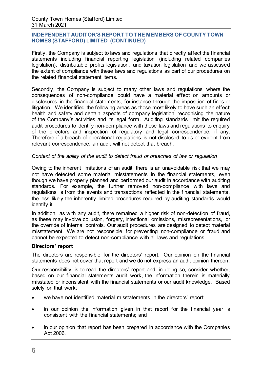Firstly, the Company is subject to laws and regulations that directly affect the financial statements including financial reporting legislation (including related companies legislation), distributable profits legislation, and taxation legislation and we assessed the extent of compliance with these laws and regulations as part of our procedures on the related financial statement items.

Secondly, the Company is subject to many other laws and regulations where the consequences of non-compliance could have a material effect on amounts or disclosures in the financial statements, for instance through the imposition of fines or litigation. We identified the following areas as those most likely to have such an effect: health and safety and certain aspects of company legislation recognising the nature of the Company's activities and its legal form. Auditing standards limit the required audit procedures to identify non-compliance with these laws and regulations to enquiry of the directors and inspection of regulatory and legal correspondence, if any. Therefore if a breach of operational regulations is not disclosed to us or evident from relevant correspondence, an audit will not detect that breach.

## *Context of the ability of the audit to detect fraud or breaches of law or regulation*

Owing to the inherent limitations of an audit, there is an unavoidable risk that we may not have detected some material misstatements in the financial statements, even though we have properly planned and performed our audit in accordance with auditing standards. For example, the further removed non-compliance with laws and regulations is from the events and transactions reflected in the financial statements, the less likely the inherently limited procedures required by auditing standards would identify it.

In addition, as with any audit, there remained a higher risk of non-detection of fraud, as these may involve collusion, forgery, intentional omissions, misrepresentations, or the override of internal controls. Our audit procedures are designed to detect material misstatement. We are not responsible for preventing non-compliance or fraud and cannot be expected to detect non-compliance with all laws and regulations.

## **Directors' report**

The directors are responsible for the directors' report. Our opinion on the financial statements does not cover that report and we do not express an audit opinion thereon.

Our responsibility is to read the directors' report and, in doing so, consider whether, based on our financial statements audit work, the information therein is materially misstated or inconsistent with the financial statements or our audit knowledge. Based solely on that work:

- we have not identified material misstatements in the directors' report;
- in our opinion the information given in that report for the financial year is consistent with the financial statements; and
- in our opinion that report has been prepared in accordance with the Companies Act 2006.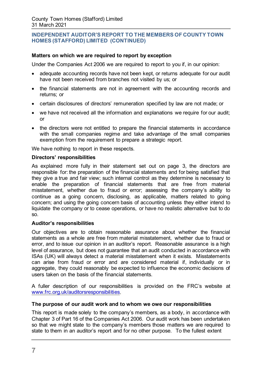## **Matters on which we are required to report by exception**

Under the Companies Act 2006 we are required to report to you if, in our opinion:

- adequate accounting records have not been kept, or returns adequate for our audit have not been received from branches not visited by us; or
- the financial statements are not in agreement with the accounting records and returns; or
- certain disclosures of directors' remuneration specified by law are not made; or
- we have not received all the information and explanations we require for our audit; or
- the directors were not entitled to prepare the financial statements in accordance with the small companies regime and take advantage of the small companies exemption from the requirement to prepare a strategic report.

We have nothing to report in these respects.

#### **Directors' responsibilities**

As explained more fully in their statement set out on page 3, the directors are responsible for: the preparation of the financial statements and for being satisfied that they give a true and fair view; such internal control as they determine is necessary to enable the preparation of financial statements that are free from material misstatement, whether due to fraud or error; assessing the company's ability to continue as a going concern, disclosing, as applicable, matters related to going concern; and using the going concern basis of accounting unless they either intend to liquidate the company or to cease operations, or have no realistic alternative but to do so.

## **Auditor's responsibilities**

Our objectives are to obtain reasonable assurance about whether the financial statements as a whole are free from material misstatement, whether due to fraud or error, and to issue our opinion in an auditor's report. Reasonable assurance is a high level of assurance, but does not guarantee that an audit conducted in accordance with ISAs (UK) will always detect a material misstatement when it exists. Misstatements can arise from fraud or error and are considered material if, individually or in aggregate, they could reasonably be expected to influence the economic decisions of users taken on the basis of the financial statements.

A fuller description of our responsibilities is provided on the FRC's website at [www.frc.org.uk/auditorsresponsibilities.](http://www.frc.org.uk/auditorsresponsibilities) 

## **The purpose of our audit work and to whom we owe our responsibilities**

This report is made solely to the company's members, as a body, in accordance with Chapter 3 of Part 16 of the Companies Act 2006. Our audit work has been undertaken so that we might state to the company's members those matters we are required to state to them in an auditor's report and for no other purpose. To the fullest extent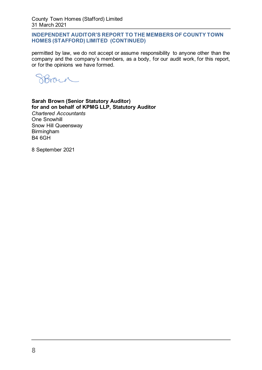permitted by law, we do not accept or assume responsibility to anyone other than the company and the company's members, as a body, for our audit work, for this report, or for the opinions we have formed.

moral.

## **Sarah Brown (Senior Statutory Auditor) for and on behalf of KPMG LLP, Statutory Auditor**

*Chartered Accountants*  One Snowhill Snow Hill Queensway Birmingham B4 6GH

8 September 2021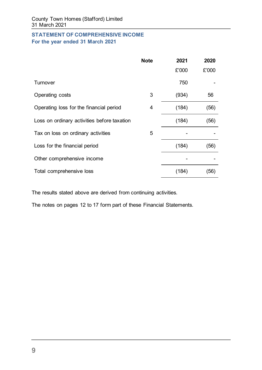## **STATEMENT OF COMPREHENSIVE INCOME For the year ended 31 March 2021**

|                                             | <b>Note</b> | 2021  | 2020  |
|---------------------------------------------|-------------|-------|-------|
|                                             |             | £'000 | £'000 |
| Turnover                                    |             | 750   |       |
| Operating costs                             | 3           | (934) | 56    |
| Operating loss for the financial period     | 4           | (184) | (56)  |
| Loss on ordinary activities before taxation |             | (184) | (56)  |
| Tax on loss on ordinary activities          | 5           |       |       |
| Loss for the financial period               |             | (184) | (56)  |
| Other comprehensive income                  |             |       |       |
| Total comprehensive loss                    |             | (184) | (56)  |

The results stated above are derived from continuing activities.

The notes on pages 12 to 17 form part of these Financial Statements.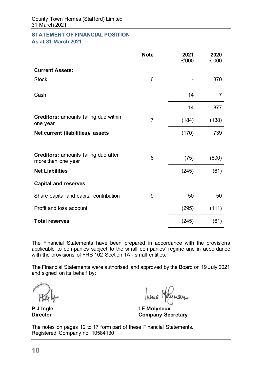#### **STATEMENT OF FINANCIAL POSITION As at 31 March 2021**

|                                                                   | <b>Note</b>    | 2021<br>£'000 | 2020<br>£'000 |
|-------------------------------------------------------------------|----------------|---------------|---------------|
| <b>Current Assets:</b>                                            |                |               |               |
| <b>Stock</b>                                                      | 6              |               | 870           |
| Cash                                                              |                | 14            | 7             |
|                                                                   |                | 14            | 877           |
| <b>Creditors:</b> amounts falling due within<br>one year          | $\overline{7}$ | (184)         | (138)         |
| Net current (liabilities)/ assets                                 |                | (170)         | 739           |
|                                                                   |                |               |               |
| <b>Creditors: amounts falling due after</b><br>more than one year | 8              | (75)          | (800)         |
| <b>Net Liabilities</b>                                            |                | (245)         | (61)          |
| <b>Capital and reserves</b>                                       |                |               |               |
| Share capital and capital contribution                            | 9              | 50            | 50            |
| Profit and loss account                                           |                | (295)         | (111)         |
| <b>Total reserves</b>                                             |                | (245)         | (61)          |

The Financial Statements have been prepared in accordance with the provisions applicable to companies subject to the small companies' regime and in accordance with the provisions of FRS 102 Section 1A - small entities.

The Financial Statements were authorised and approved by the Board on 19 July 2021 and signed on its behalf by:

hene 1

**P J Ingle I E Molyneux Company Secretary** 

The notes on pages 12 to 17 form part of these Financial Statements. Registered Company no. 10584130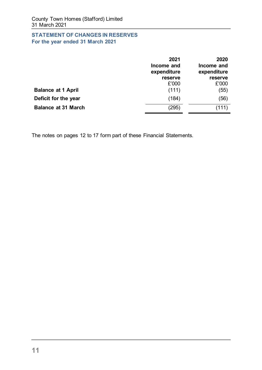# **STATEMENT OF CHANGES IN RESERVES For the year ended 31 March 2021**

<span id="page-12-0"></span>

|                            | 2021<br>Income and<br>expenditure | 2020<br>Income and<br>expenditure |
|----------------------------|-----------------------------------|-----------------------------------|
|                            | reserve                           | reserve                           |
|                            | £'000                             | £'000                             |
| <b>Balance at 1 April</b>  | (111)                             | (55)                              |
| Deficit for the year       | (184)                             | (56)                              |
| <b>Balance at 31 March</b> | (295)                             | (111)                             |

The notes on pages 12 to 17 form part of these Financial Statements.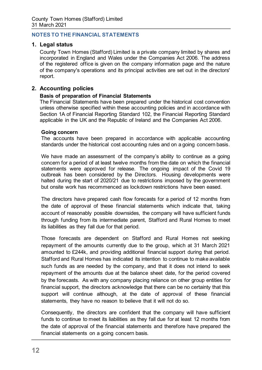## **NOTES TO THE FINANCIAL STATEMENTS**

## **1. Legal status**

County Town Homes (Stafford) Limited is a private company limited by shares and incorporated in England and Wales under the Companies Act 2006. The address of the registered office is given on the company information page and the nature of the company's operations and its principal activities are set out in the directors' report.

## **2. Accounting policies**

## **Basis of preparation of Financial Statements**

The Financial Statements have been prepared under the historical cost convention unless otherwise specified within these accounting policies and in accordance with Section 1A of Financial Reporting Standard 102, the Financial Reporting Standard applicable in the UK and the Republic of Ireland and the Companies Act 2006.

#### **Going concern**

The accounts have been prepared in accordance with applicable accounting standards under the historical cost accounting rules and on a going concern basis.

We have made an assessment of the company's ability to continue as a going concern for a period of at least twelve months from the date on which the financial statements were approved for release. The ongoing impact of the Covid 19 outbreak has been considered by the Directors. Housing developments were halted during the start of 2020/21 due to restrictions imposed by the government but onsite work has recommenced as lockdown restrictions have been eased.

The directors have prepared cash flow forecasts for a period of 12 months from the date of approval of these financial statements which indicate that, taking account of reasonably possible downsides, the company will have sufficient funds through funding from its intermediate parent, Stafford and Rural Homes to meet its liabilities as they fall due for that period.

Those forecasts are dependent on Stafford and Rural Homes not seeking repayment of the amounts currently due to the group, which at 31 March 2021 amounted to £244k, and providing additional financial support during that period. Stafford and Rural Homes has indicated its intention to continue to make available such funds as are needed by the company, and that it does not intend to seek repayment of the amounts due at the balance sheet date, for the period covered by the forecasts. As with any company placing reliance on other group entities for financial support, the directors acknowledge that there can be no certainty that this support will continue although, at the date of approval of these financial statements, they have no reason to believe that it will not do so.

Consequently, the directors are confident that the company will have sufficient funds to continue to meet its liabilities as they fall due for at least 12 months from the date of approval of the financial statements and therefore have prepared the financial statements on a going concern basis.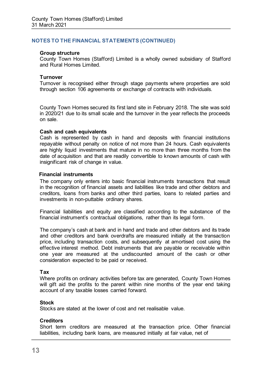#### **Group structure**

County Town Homes (Stafford) Limited is a wholly owned subsidiary of Stafford and Rural Homes Limited.

#### **Turnover**

Turnover is recognised either through stage payments where properties are sold through section 106 agreements or exchange of contracts with individuals.

County Town Homes secured its first land site in February 2018. The site was sold in 2020/21 due to its small scale and the turnover in the year reflects the proceeds on sale.

#### **Cash and cash equivalents**

Cash is represented by cash in hand and deposits with financial institutions repayable without penalty on notice of not more than 24 hours. Cash equivalents are highly liquid investments that mature in no more than three months from the date of acquisition and that are readily convertible to known amounts of cash with insignificant risk of change in value.

#### **Financial instruments**

The company only enters into basic financial instruments transactions that result in the recognition of financial assets and liabilities like trade and other debtors and creditors, loans from banks and other third parties, loans to related parties and investments in non-puttable ordinary shares.

Financial liabilities and equity are classified according to the substance of the financial instrument's contractual obligations, rather than its legal form.

The company's cash at bank and in hand and trade and other debtors and its trade and other creditors and bank overdrafts are measured initially at the transaction price, including transaction costs, and subsequently at amortised cost using the effective interest method. Debt instruments that are payable or receivable within one year are measured at the undiscounted amount of the cash or other consideration expected to be paid or received.

#### **Tax**

Where profits on ordinary activities before tax are generated, County Town Homes will gift aid the profits to the parent within nine months of the year end taking account of any taxable losses carried forward.

#### **Stock**

Stocks are stated at the lower of cost and net realisable value.

## **Creditors**

Short term creditors are measured at the transaction price. Other financial liabilities, including bank loans, are measured initially at fair value, net of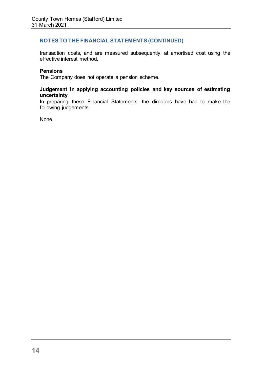transaction costs, and are measured subsequently at amortised cost using the effective interest method.

## **Pensions**

The Company does not operate a pension scheme.

## **Judgement in applying accounting policies and key sources of estimating uncertainty**

In preparing these Financial Statements, the directors have had to make the following judgements:

None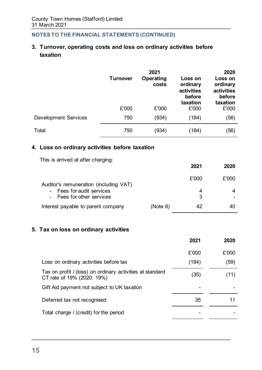# **3. Turnover, operating costs and loss on ordinary activities before taxation**

|                             | <b>Turnover</b> | 2021<br>Operating<br>costs | Loss on<br>ordinary<br>activities<br>before<br>taxation | 2020<br>Loss on<br>ordinary<br>activities<br>before<br>taxation |
|-----------------------------|-----------------|----------------------------|---------------------------------------------------------|-----------------------------------------------------------------|
|                             | £'000           | £'000                      | £'000                                                   | £'000                                                           |
| <b>Development Services</b> | 750             | (934)                      | (184)                                                   | (56)                                                            |
| Total                       | 750             | (934)                      | (184)                                                   | (56)                                                            |

## **4. Loss on ordinary activities before taxation**

This is arrived at after charging:

|                                                        |          | 2021  | 2020  |
|--------------------------------------------------------|----------|-------|-------|
| Auditor's remuneration (including VAT)                 |          | £'000 | £'000 |
| - Fees for audit services<br>- Fees for other services |          | 4     |       |
| Interest payable to parent company                     | (Note 8) | 42    |       |

## **5. Tax on loss on ordinary activities**

|                                                                                         | 2021  | 2020  |
|-----------------------------------------------------------------------------------------|-------|-------|
|                                                                                         | £'000 | £'000 |
| Loss on ordinary activities before tax                                                  | (184) | (59)  |
| Tax on profit / (loss) on ordinary activities at standard<br>CT rate of 19% (2020: 19%) | (35)  | (11)  |
| Gift Aid payment not subject to UK taxation                                             |       |       |
| Deferred tax not recognised                                                             | 35    |       |
| Total charge / (credit) for the period                                                  |       |       |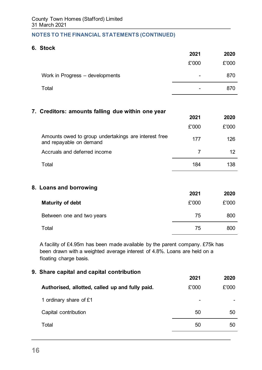## **6. Stock**

|                                 | 2021                         | 2020  |
|---------------------------------|------------------------------|-------|
|                                 | £'000                        | £'000 |
| Work in Progress - developments | $\qquad \qquad \blacksquare$ | 870   |
| Total                           | -                            | 870   |

## **7. Creditors: amounts falling due within one year**

|                                                                                 | 2021  | 2020  |
|---------------------------------------------------------------------------------|-------|-------|
|                                                                                 | £'000 | £'000 |
| Amounts owed to group undertakings are interest free<br>and repayable on demand | 177   | 126   |
| Accruals and deferred income                                                    |       | 12    |
| Total                                                                           | 184   | 138   |

## **8. Loans and borrowing**

|                           | 2021  | 2020  |
|---------------------------|-------|-------|
| <b>Maturity of debt</b>   | £'000 | £'000 |
| Between one and two years | 75    | 800   |
| Total                     | 75    | 800   |

A facility of £4.95m has been made available by the parent company. £75k has been drawn with a weighted average interest of 4.8%. Loans are held on a floating charge basis.

| 9. Share capital and capital contribution       |       |       |
|-------------------------------------------------|-------|-------|
|                                                 | 2021  | 2020  |
| Authorised, allotted, called up and fully paid. | £'000 | £'000 |
| 1 ordinary share of £1                          |       |       |
| Capital contribution                            | 50    | 50    |
| Total                                           | 50    | 50    |